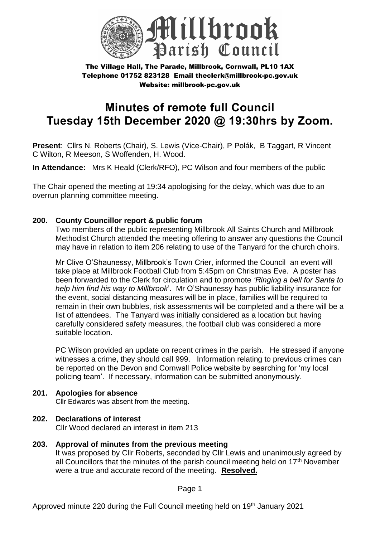

# **Minutes of remote full Council Tuesday 15th December 2020 @ 19:30hrs by Zoom.**

**Present**: Cllrs N. Roberts (Chair), S. Lewis (Vice-Chair), P Polák, B Taggart, R Vincent C Wilton, R Meeson, S Woffenden, H. Wood.

**In Attendance:** Mrs K Heald (Clerk/RFO), PC Wilson and four members of the public

The Chair opened the meeting at 19:34 apologising for the delay, which was due to an overrun planning committee meeting.

#### **200. County Councillor report & public forum**

Two members of the public representing Millbrook All Saints Church and Millbrook Methodist Church attended the meeting offering to answer any questions the Council may have in relation to item 206 relating to use of the Tanyard for the church choirs.

Mr Clive O'Shaunessy, Millbrook's Town Crier, informed the Council an event will take place at Millbrook Football Club from 5:45pm on Christmas Eve. A poster has been forwarded to the Clerk for circulation and to promote *'Ringing a bell for Santa to help him find his way to Millbrook*'. Mr O'Shaunessy has public liability insurance for the event, social distancing measures will be in place, families will be required to remain in their own bubbles, risk assessments will be completed and a there will be a list of attendees. The Tanyard was initially considered as a location but having carefully considered safety measures, the football club was considered a more suitable location.

PC Wilson provided an update on recent crimes in the parish. He stressed if anyone witnesses a crime, they should call 999. Information relating to previous crimes can be reported on the Devon and Cornwall Police website by searching for 'my local policing team'. If necessary, information can be submitted anonymously.

#### **201. Apologies for absence**

Cllr Edwards was absent from the meeting.

#### **202. Declarations of interest**

Cllr Wood declared an interest in item 213

**203. Approval of minutes from the previous meeting** It was proposed by Cllr Roberts, seconded by Cllr Lewis and unanimously agreed by all Councillors that the minutes of the parish council meeting held on  $17<sup>th</sup>$  November were a true and accurate record of the meeting. **Resolved.**

Page 1

Approved minute 220 during the Full Council meeting held on 19<sup>th</sup> January 2021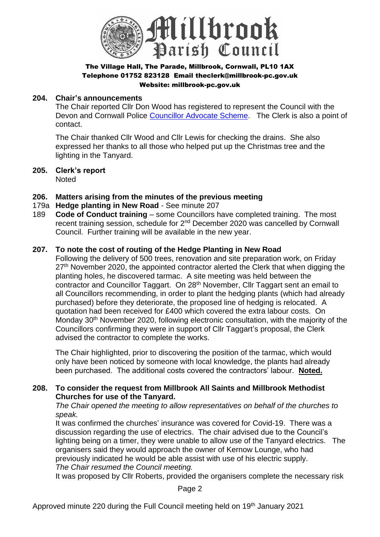

#### **204. Chair's announcements**

The Chair reported Cllr Don Wood has registered to represent the Council with the Devon and Cornwall Police [Councillor Advocate Scheme.](https://www.devonandcornwall-pcc.gov.uk/take-part/councillor-advocate-scheme/) The Clerk is also a point of contact.

The Chair thanked Cllr Wood and Cllr Lewis for checking the drains. She also expressed her thanks to all those who helped put up the Christmas tree and the lighting in the Tanyard.

**205. Clerk's report**  Noted

#### **206. Matters arising from the minutes of the previous meeting**

- 179a **Hedge planting in New Road** See minute 207
- 189 **Code of Conduct training** some Councillors have completed training. The most recent training session, schedule for 2nd December 2020 was cancelled by Cornwall Council. Further training will be available in the new year.

#### **207. To note the cost of routing of the Hedge Planting in New Road**

Following the delivery of 500 trees, renovation and site preparation work, on Friday  $27<sup>th</sup>$  November 2020, the appointed contractor alerted the Clerk that when digging the planting holes, he discovered tarmac. A site meeting was held between the contractor and Councillor Taggart. On 28<sup>th</sup> November, Cllr Taggart sent an email to all Councillors recommending, in order to plant the hedging plants (which had already purchased) before they deteriorate, the proposed line of hedging is relocated. A quotation had been received for £400 which covered the extra labour costs. On Monday 30<sup>th</sup> November 2020, following electronic consultation, with the majority of the Councillors confirming they were in support of Cllr Taggart's proposal, the Clerk advised the contractor to complete the works.

The Chair highlighted, prior to discovering the position of the tarmac, which would only have been noticed by someone with local knowledge, the plants had already been purchased. The additional costs covered the contractors' labour. **Noted.**

#### **208. To consider the request from Millbrook All Saints and Millbrook Methodist Churches for use of the Tanyard.**

*The Chair opened the meeting to allow representatives on behalf of the churches to speak.*

It was confirmed the churches' insurance was covered for Covid-19. There was a discussion regarding the use of electrics. The chair advised due to the Council's lighting being on a timer, they were unable to allow use of the Tanyard electrics. The organisers said they would approach the owner of Kernow Lounge, who had previously indicated he would be able assist with use of his electric supply. *The Chair resumed the Council meeting.*

It was proposed by Cllr Roberts, provided the organisers complete the necessary risk

Page 2

Approved minute 220 during the Full Council meeting held on 19<sup>th</sup> January 2021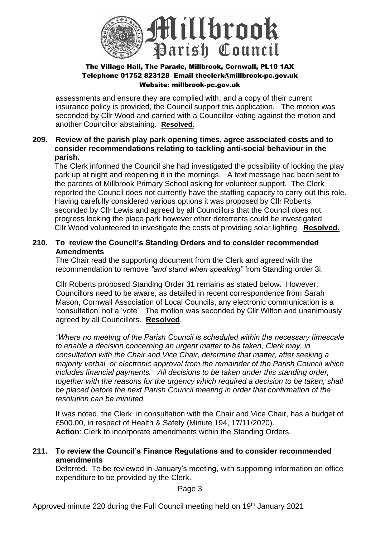

assessments and ensure they are complied with, and a copy of their current insurance policy is provided, the Council support this application. The motion was seconded by Cllr Wood and carried with a Councillor voting against the motion and another Councillor abstaining. **Resolved.**

#### **209. Review of the parish play park opening times, agree associated costs and to consider recommendations relating to tackling anti-social behaviour in the parish.**

The Clerk informed the Council she had investigated the possibility of locking the play park up at night and reopening it in the mornings. A text message had been sent to the parents of Millbrook Primary School asking for volunteer support. The Clerk reported the Council does not currently have the staffing capacity to carry out this role. Having carefully considered various options it was proposed by Cllr Roberts, seconded by Cllr Lewis and agreed by all Councillors that the Council does not progress locking the place park however other deterrents could be investigated. Cllr Wood volunteered to investigate the costs of providing solar lighting. **Resolved.**

### **210. To review the Council's Standing Orders and to consider recommended Amendments**

The Chair read the supporting document from the Clerk and agreed with the recommendation to remove *"and stand when speaking"* from Standing order 3i.

Cllr Roberts proposed Standing Order 31 remains as stated below. However, Councillors need to be aware, as detailed in recent correspondence from Sarah Mason, Cornwall Association of Local Councils, any electronic communication is a 'consultation' not a 'vote'. The motion was seconded by Cllr Wilton and unanimously agreed by all Councillors. **Resolved**.

*"Where no meeting of the Parish Council is scheduled within the necessary timescale to enable a decision concerning an urgent matter to be taken, Clerk may, in consultation with the Chair and Vice Chair, determine that matter, after seeking a majority verbal or electronic approval from the remainder of the Parish Council which includes financial payments. All decisions to be taken under this standing order, together with the reasons for the urgency which required a decision to be taken, shall be placed before the next Parish Council meeting in order that confirmation of the resolution can be minuted.* 

It was noted, the Clerk in consultation with the Chair and Vice Chair, has a budget of £500.00, in respect of Health & Safety (Minute 194, 17/11/2020). **Action**: Clerk to incorporate amendments within the Standing Orders.

#### **211. To review the Council's Finance Regulations and to consider recommended amendments**

Deferred. To be reviewed in January's meeting, with supporting information on office expenditure to be provided by the Clerk.

Page 3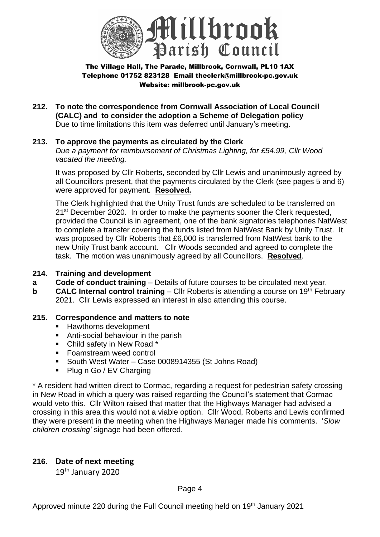

- **212. To note the correspondence from Cornwall Association of Local Council (CALC) and to consider the adoption a Scheme of Delegation policy**  Due to time limitations this item was deferred until January's meeting.
- **213. To approve the payments as circulated by the Clerk** *Due a payment for reimbursement of Christmas Lighting, for £54.99, Cllr Wood vacated the meeting.*

It was proposed by Cllr Roberts, seconded by Cllr Lewis and unanimously agreed by all Councillors present, that the payments circulated by the Clerk (see pages 5 and 6) were approved for payment. **Resolved.**

The Clerk highlighted that the Unity Trust funds are scheduled to be transferred on 21<sup>st</sup> December 2020. In order to make the payments sooner the Clerk requested, provided the Council is in agreement, one of the bank signatories telephones NatWest to complete a transfer covering the funds listed from NatWest Bank by Unity Trust. It was proposed by Cllr Roberts that £6,000 is transferred from NatWest bank to the new Unity Trust bank account. Cllr Woods seconded and agreed to complete the task. The motion was unanimously agreed by all Councillors. **Resolved**.

#### **214. Training and development**

- **a Code of conduct training** Details of future courses to be circulated next year.
- **b CALC Internal control training** Cllr Roberts is attending a course on 19<sup>th</sup> February 2021. Cllr Lewis expressed an interest in also attending this course.

#### **215. Correspondence and matters to note**

- Hawthorns development
- Anti-social behaviour in the parish
- Child safety in New Road \*
- Foamstream weed control
- South West Water Case 0008914355 (St Johns Road)
- Plug n Go / EV Charging

\* A resident had written direct to Cormac, regarding a request for pedestrian safety crossing in New Road in which a query was raised regarding the Council's statement that Cormac would veto this. Cllr Wilton raised that matter that the Highways Manager had advised a crossing in this area this would not a viable option. Cllr Wood, Roberts and Lewis confirmed they were present in the meeting when the Highways Manager made his comments. '*Slow children crossing'* signage had been offered.

#### **216**. **Date of next meeting**

19th January 2020

Approved minute 220 during the Full Council meeting held on 19<sup>th</sup> January 2021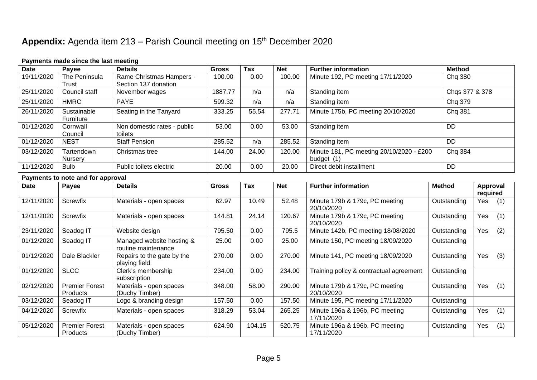## Appendix: Agenda item 213 – Parish Council meeting on 15<sup>th</sup> December 2020

#### **Payments made since the last meeting**

| <b>Date</b> | Payee          | <b>Details</b>              | <b>Gross</b> | <b>Tax</b> | <b>Net</b> | <b>Further information</b>               | <b>Method</b>  |
|-------------|----------------|-----------------------------|--------------|------------|------------|------------------------------------------|----------------|
| 19/11/2020  | The Peninsula  | Rame Christmas Hampers -    | 100.00       | 0.00       | 100.00     | Minute 192, PC meeting 17/11/2020        | Chq 380        |
|             | Trust          | Section 137 donation        |              |            |            |                                          |                |
| 25/11/2020  | Council staff  | November wages              | 1887.77      | n/a        | n/a        | Standing item                            | Chgs 377 & 378 |
| 25/11/2020  | <b>HMRC</b>    | <b>PAYE</b>                 | 599.32       | n/a        | n/a        | Standing item                            | Chg 379        |
| 26/11/2020  | Sustainable    | Seating in the Tanyard      | 333.25       | 55.54      | 277.71     | Minute 175b, PC meeting 20/10/2020       | Chq 381        |
|             | Furniture      |                             |              |            |            |                                          |                |
| 01/12/2020  | Cornwall       | Non domestic rates - public | 53.00        | 0.00       | 53.00      | Standing item                            | DD             |
|             | Council        | toilets                     |              |            |            |                                          |                |
| 01/12/2020  | <b>NEST</b>    | <b>Staff Pension</b>        | 285.52       | n/a        | 285.52     | Standing item                            | <b>DD</b>      |
| 03/12/2020  | Tartendown     | Christmas tree              | 144.00       | 24.00      | 120.00     | Minute 181, PC meeting 20/10/2020 - £200 | Chq 384        |
|             | <b>Nursery</b> |                             |              |            |            | budget (1)                               |                |
| 11/12/2020  | <b>Bulb</b>    | Public toilets electric     | 20.00        | 0.00       | 20.00      | Direct debit installment                 | <b>DD</b>      |

#### **Payments to note and for approval**

| <b>Date</b> | . .<br>Payee                             | <b>Details</b>                                   | <b>Gross</b> | Tax    | <b>Net</b> | <b>Further information</b>                   | <b>Method</b> | Approval<br>required |  |
|-------------|------------------------------------------|--------------------------------------------------|--------------|--------|------------|----------------------------------------------|---------------|----------------------|--|
| 12/11/2020  | Screwfix                                 | Materials - open spaces                          | 62.97        | 10.49  | 52.48      | Minute 179b & 179c, PC meeting<br>20/10/2020 | Outstanding   | Yes<br>(1)           |  |
| 12/11/2020  | Screwfix                                 | Materials - open spaces                          | 144.81       | 24.14  | 120.67     | Minute 179b & 179c, PC meeting<br>20/10/2020 | Outstanding   | Yes<br>(1)           |  |
| 23/11/2020  | Seadog IT                                | Website design                                   | 795.50       | 0.00   | 795.5      | Minute 142b, PC meeting 18/08/2020           | Outstanding   | Yes<br>(2)           |  |
| 01/12/2020  | Seadog IT                                | Managed website hosting &<br>routine maintenance | 25.00        | 0.00   | 25.00      | Minute 150, PC meeting 18/09/2020            | Outstanding   |                      |  |
| 01/12/2020  | Dale Blackler                            | Repairs to the gate by the<br>playing field      | 270.00       | 0.00   | 270.00     | Minute 141, PC meeting 18/09/2020            | Outstanding   | (3)<br>Yes           |  |
| 01/12/2020  | <b>SLCC</b>                              | Clerk's membership<br>subscription               | 234.00       | 0.00   | 234.00     | Training policy & contractual agreement      | Outstanding   |                      |  |
| 02/12/2020  | <b>Premier Forest</b><br>Products        | Materials - open spaces<br>(Duchy Timber)        | 348.00       | 58.00  | 290.00     | Minute 179b & 179c, PC meeting<br>20/10/2020 | Outstanding   | (1)<br>Yes           |  |
| 03/12/2020  | Seadog IT                                | Logo & branding design                           | 157.50       | 0.00   | 157.50     | Minute 195, PC meeting 17/11/2020            | Outstanding   |                      |  |
| 04/12/2020  | Screwfix                                 | Materials - open spaces                          | 318.29       | 53.04  | 265.25     | Minute 196a & 196b, PC meeting<br>17/11/2020 | Outstanding   | Yes<br>(1)           |  |
| 05/12/2020  | <b>Premier Forest</b><br><b>Products</b> | Materials - open spaces<br>(Duchy Timber)        | 624.90       | 104.15 | 520.75     | Minute 196a & 196b, PC meeting<br>17/11/2020 | Outstanding   | Yes<br>(1)           |  |